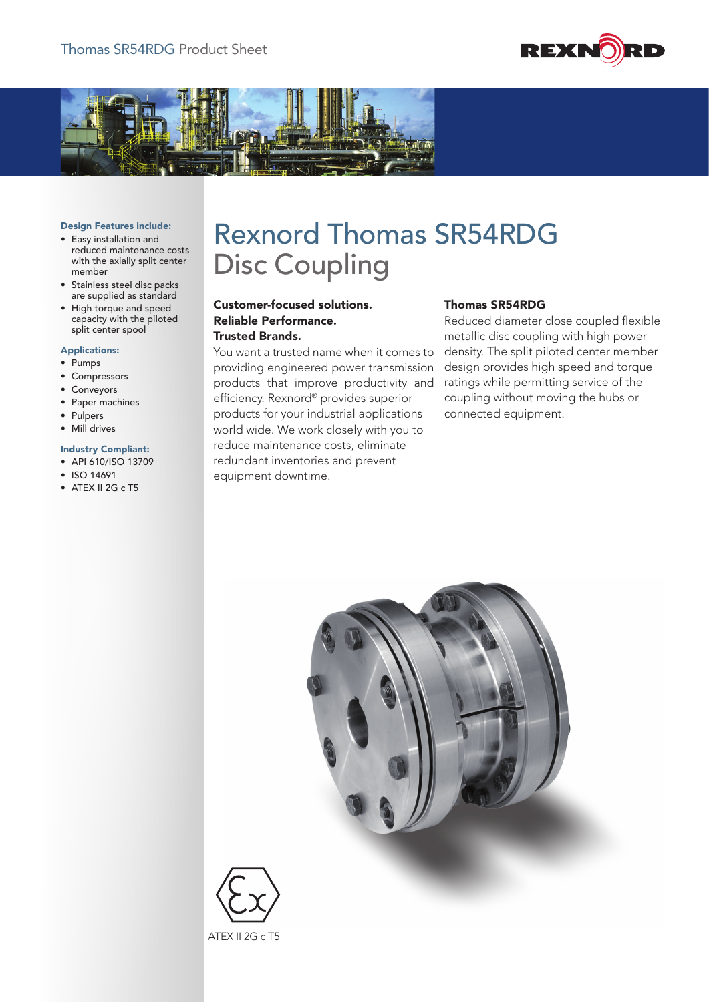



### Design Features include:

- • Easy installation and reduced maintenance costs with the axially split center member
- • Stainless steel disc packs are supplied as standard
- • High torque and speed capacity with the piloted split center spool

#### Applications:

- • Pumps
- • Compressors
- • Conveyors
- • Paper machines
- • Pulpers
- • Mill drives

## Industry Compliant:

- • API 610/ISO 13709
- • ISO 14691
- ATEX II 2G c T5

# Rexnord Thomas SR54RDG Disc Coupling

# Customer-focused solutions. Reliable Performance. Trusted Brands.

You want a trusted name when it comes to providing engineered power transmission products that improve productivity and efficiency. Rexnord® provides superior products for your industrial applications world wide. We work closely with you to reduce maintenance costs, eliminate redundant inventories and prevent equipment downtime.

### Thomas SR54RDG

Reduced diameter close coupled flexible metallic disc coupling with high power density. The split piloted center member design provides high speed and torque ratings while permitting service of the coupling without moving the hubs or connected equipment.